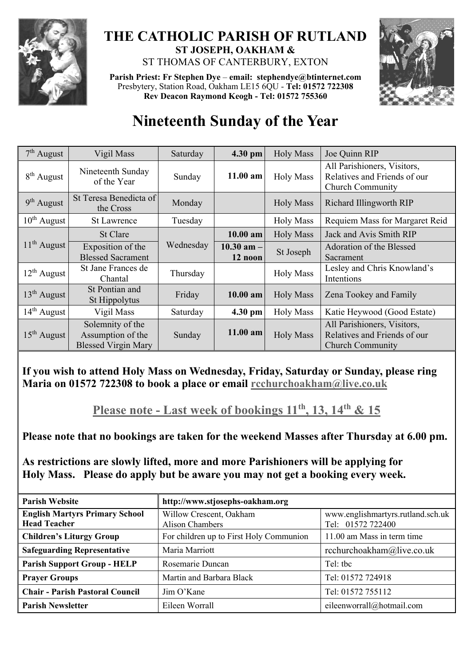

## **THE CATHOLIC PARISH OF RUTLAND ST JOSEPH, OAKHAM &**  ST THOMAS OF CANTERBURY, EXTON

**Parish Priest: Fr Stephen Dye** – **[email: stephendye@btinternet.com](mailto:email:%20%20stephendye@btinternet.com)** Presbytery, Station Road, Oakham LE15 6QU - **Tel: 01572 722308 Rev Deacon Raymond Keogh - Tel: 01572 755360**



## **Nineteenth Sunday of the Year**

| $7th$ August     | Vigil Mass                                                          | Saturday  | 4.30 pm                   | <b>Holy Mass</b> | Joe Quinn RIP                                                                          |
|------------------|---------------------------------------------------------------------|-----------|---------------------------|------------------|----------------------------------------------------------------------------------------|
| $8th$ August     | Nineteenth Sunday<br>of the Year                                    | Sunday    | $11.00$ am                | <b>Holy Mass</b> | All Parishioners, Visitors,<br>Relatives and Friends of our<br><b>Church Community</b> |
| $9th$ August     | St Teresa Benedicta of<br>the Cross                                 | Monday    |                           | <b>Holy Mass</b> | Richard Illingworth RIP                                                                |
| $10^{th}$ August | <b>St Lawrence</b>                                                  | Tuesday   |                           | <b>Holy Mass</b> | Requiem Mass for Margaret Reid                                                         |
| $11th$ August    | St Clare                                                            |           | $10.00$ am                | <b>Holy Mass</b> | Jack and Avis Smith RIP                                                                |
|                  | Exposition of the<br><b>Blessed Sacrament</b>                       | Wednesday | $10.30$ am $-$<br>12 noon | St Joseph        | Adoration of the Blessed<br>Sacrament                                                  |
| $12^{th}$ August | St Jane Frances de<br>Chantal                                       | Thursday  |                           | <b>Holy Mass</b> | Lesley and Chris Knowland's<br>Intentions                                              |
| $13th$ August    | St Pontian and<br>St Hippolytus                                     | Friday    | 10.00 am                  | <b>Holy Mass</b> | Zena Tookey and Family                                                                 |
| $14th$ August    | Vigil Mass                                                          | Saturday  | 4.30 pm                   | <b>Holy Mass</b> | Katie Heywood (Good Estate)                                                            |
| $15th$ August    | Solemnity of the<br>Assumption of the<br><b>Blessed Virgin Mary</b> | Sunday    | $11.00$ am                | <b>Holy Mass</b> | All Parishioners, Visitors,<br>Relatives and Friends of our<br><b>Church Community</b> |

**If you wish to attend Holy Mass on Wednesday, Friday, Saturday or Sunday, please ring Maria on 01572 722308 to book a place or email [rcchurchoakham@live.co.uk](mailto:rcchurchoakham@live.co.uk)**

**Please note - Last week of bookings 11th, 13, 14th & 15**

**Please note that no bookings are taken for the weekend Masses after Thursday at 6.00 pm.**

**As restrictions are slowly lifted, more and more Parishioners will be applying for Holy Mass. Please do apply but be aware you may not get a booking every week.**

| <b>Parish Website</b>                                        | http://www.stjosephs-oakham.org                   |                                                        |  |  |
|--------------------------------------------------------------|---------------------------------------------------|--------------------------------------------------------|--|--|
| <b>English Martyrs Primary School</b><br><b>Head Teacher</b> | Willow Crescent, Oakham<br><b>Alison Chambers</b> | www.englishmartyrs.rutland.sch.uk<br>Tel: 01572 722400 |  |  |
| <b>Children's Liturgy Group</b>                              | For children up to First Holy Communion           | 11.00 am Mass in term time                             |  |  |
| <b>Safeguarding Representative</b>                           | Maria Marriott                                    | rcchurchoakham@live.co.uk                              |  |  |
| <b>Parish Support Group - HELP</b>                           | Rosemarie Duncan                                  | Tel: the                                               |  |  |
| <b>Prayer Groups</b>                                         | Martin and Barbara Black                          | Tel: 01572 724918                                      |  |  |
| <b>Chair - Parish Pastoral Council</b>                       | Jim O'Kane                                        | Tel: 01572 755112                                      |  |  |
| <b>Parish Newsletter</b>                                     | Eileen Worrall                                    | eileenworrall@hotmail.com                              |  |  |